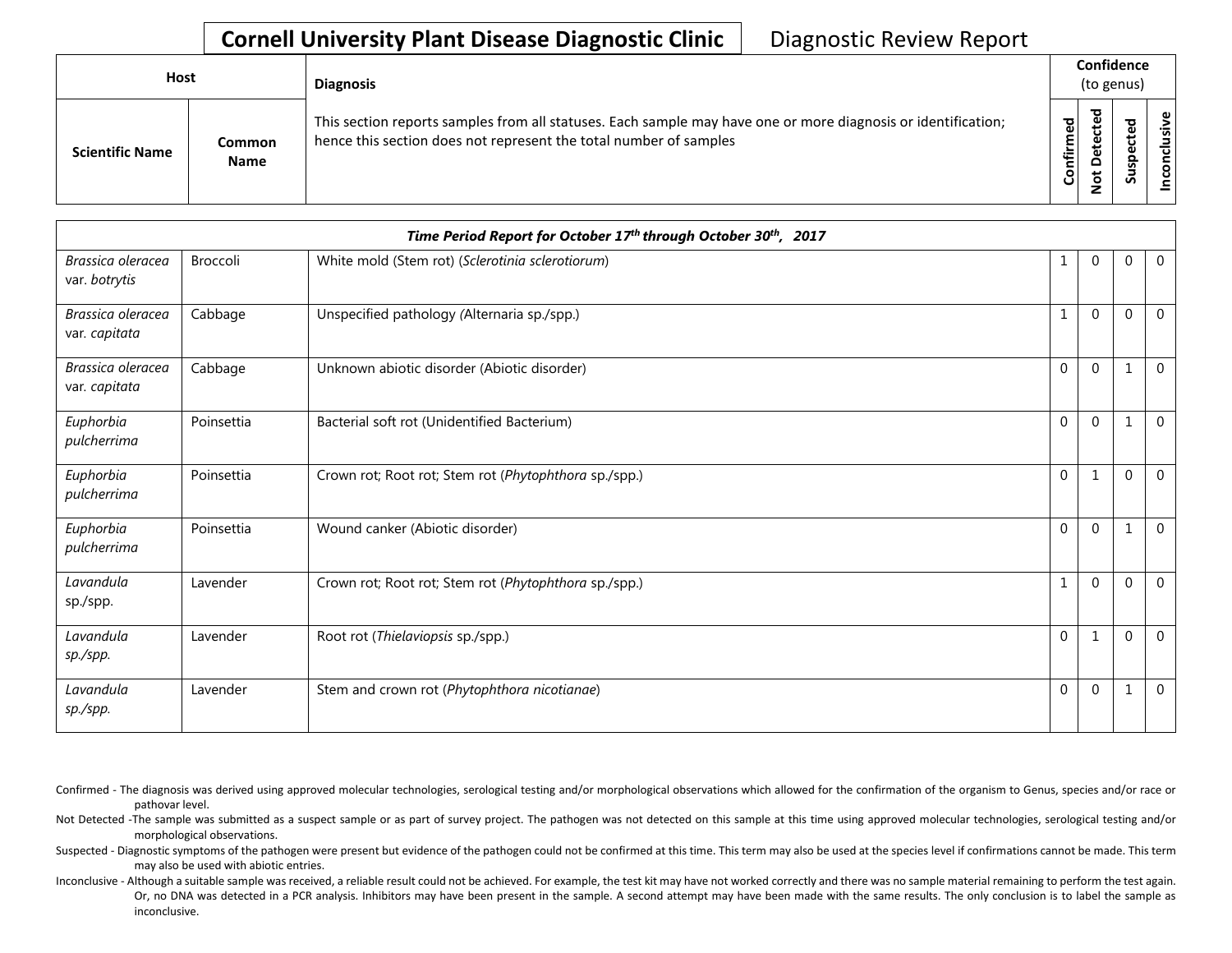| Host                   |                              | <b>Diagnosis</b>                                                                                                                                                                   |           | Confidence<br>(to genus)                     |              |    |  |  |
|------------------------|------------------------------|------------------------------------------------------------------------------------------------------------------------------------------------------------------------------------|-----------|----------------------------------------------|--------------|----|--|--|
| <b>Scientific Name</b> | <b>Common</b><br><b>Name</b> | This section reports samples from all statuses. Each sample may have one or more diagnosis or identification;<br>hence this section does not represent the total number of samples | Confirmed | ъ<br>္ၿ<br>ں<br>ىپ<br>o<br>پ<br>$\circ$<br>- | ਠ<br>s<br>ഗ് | .≥ |  |  |

|                                    |            | Time Period Report for October 17th through October 30th, 2017 |              |              |              |                |
|------------------------------------|------------|----------------------------------------------------------------|--------------|--------------|--------------|----------------|
| Brassica oleracea<br>var. botrytis | Broccoli   | White mold (Stem rot) (Sclerotinia sclerotiorum)               |              | 0            | $\mathbf 0$  | $\overline{0}$ |
| Brassica oleracea<br>var. capitata | Cabbage    | Unspecified pathology (Alternaria sp./spp.)                    | $\mathbf{1}$ | $\mathbf{0}$ | $\mathbf 0$  | $\overline{0}$ |
| Brassica oleracea<br>var. capitata | Cabbage    | Unknown abiotic disorder (Abiotic disorder)                    | $\mathbf 0$  | $\theta$     | 1            | $\mathbf 0$    |
| Euphorbia<br>pulcherrima           | Poinsettia | Bacterial soft rot (Unidentified Bacterium)                    | $\Omega$     | $\Omega$     | 1            | $\mathbf 0$    |
| Euphorbia<br>pulcherrima           | Poinsettia | Crown rot; Root rot; Stem rot (Phytophthora sp./spp.)          | $\mathbf{0}$ |              | $\Omega$     | $\Omega$       |
| Euphorbia<br>pulcherrima           | Poinsettia | Wound canker (Abiotic disorder)                                | $\Omega$     | $\Omega$     | 1            | $\Omega$       |
| Lavandula<br>sp./spp.              | Lavender   | Crown rot; Root rot; Stem rot (Phytophthora sp./spp.)          | $\mathbf{1}$ | $\Omega$     | $\mathbf{0}$ | $\Omega$       |
| Lavandula<br>sp./spp.              | Lavender   | Root rot (Thielaviopsis sp./spp.)                              | $\mathbf 0$  | 1            | $\Omega$     | $\Omega$       |
| Lavandula<br>sp./spp.              | Lavender   | Stem and crown rot (Phytophthora nicotianae)                   | $\Omega$     | $\Omega$     | $\mathbf{1}$ | $\mathbf 0$    |

Confirmed - The diagnosis was derived using approved molecular technologies, serological testing and/or morphological observations which allowed for the confirmation of the organism to Genus, species and/or race or pathovar level.

Not Detected -The sample was submitted as a suspect sample or as part of survey project. The pathogen was not detected on this sample at this time using approved molecular technologies, serological testing and/or morphological observations.

Suspected - Diagnostic symptoms of the pathogen were present but evidence of the pathogen could not be confirmed at this time. This term may also be used at the species level if confirmations cannot be made. This term may also be used with abiotic entries.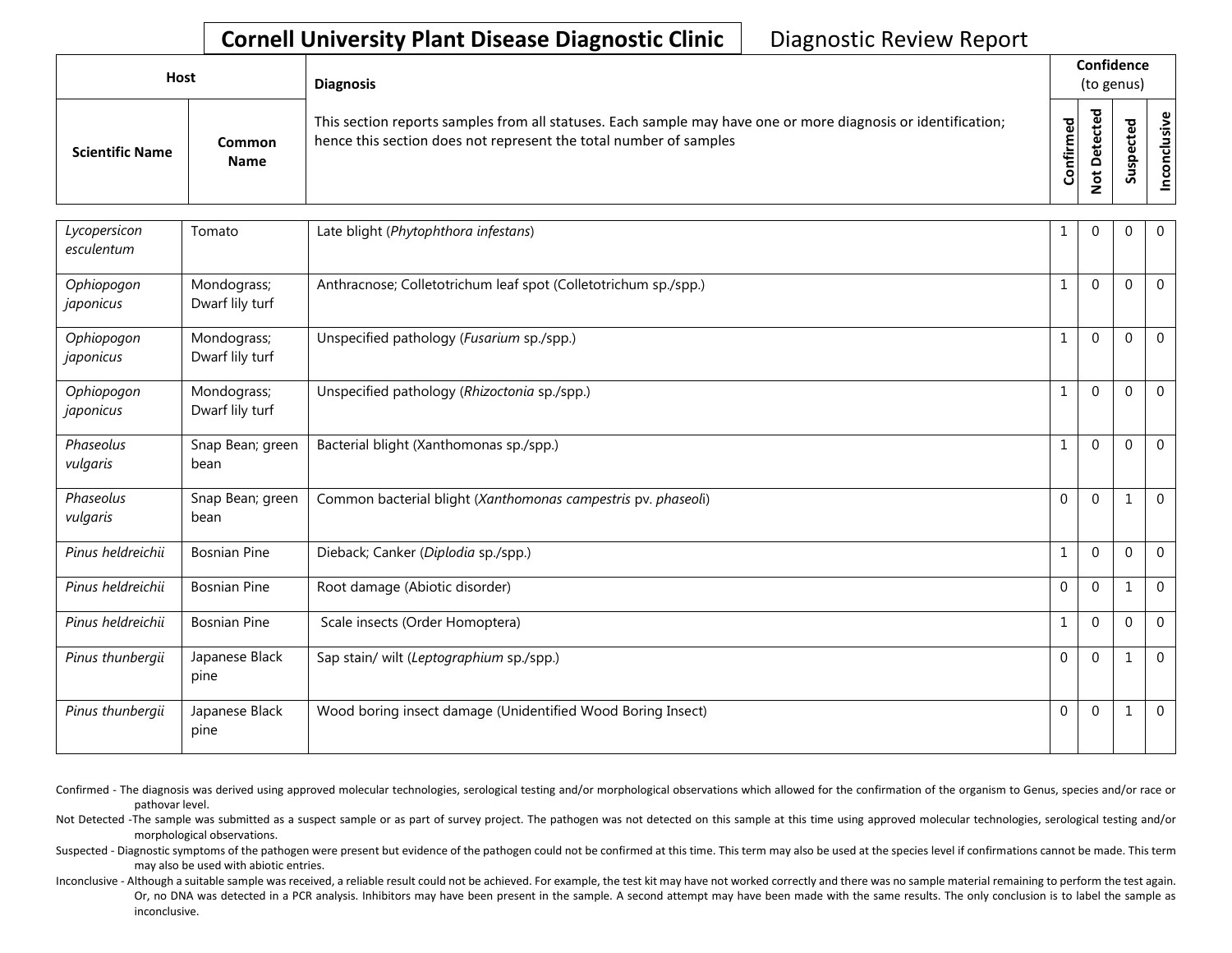| Host                   |                       | <b>Diagnosis</b>                                                                                                                                                                   | Confidence<br>(to genus) |                   |   |               |
|------------------------|-----------------------|------------------------------------------------------------------------------------------------------------------------------------------------------------------------------------|--------------------------|-------------------|---|---------------|
| <b>Scientific Name</b> | Common<br><b>Name</b> | This section reports samples from all statuses. Each sample may have one or more diagnosis or identification;<br>hence this section does not represent the total number of samples | Confirmed                | ъ<br>o<br>سه<br>– | ທ | Φ<br>šŗ<br>᠊ᠣ |

| Lycopersicon<br>esculentum | Tomato                         | Late blight (Phytophthora infestans)                            | 1            | 0              | $\Omega$ | $\overline{0}$ |
|----------------------------|--------------------------------|-----------------------------------------------------------------|--------------|----------------|----------|----------------|
| Ophiopogon<br>japonicus    | Mondograss;<br>Dwarf lily turf | Anthracnose; Colletotrichum leaf spot (Colletotrichum sp./spp.) | 1            | $\Omega$       | $\Omega$ | $\Omega$       |
| Ophiopogon<br>japonicus    | Mondograss;<br>Dwarf lily turf | Unspecified pathology (Fusarium sp./spp.)                       | $\mathbf{1}$ | $\overline{0}$ | $\Omega$ | $\Omega$       |
| Ophiopogon<br>japonicus    | Mondograss;<br>Dwarf lily turf | Unspecified pathology (Rhizoctonia sp./spp.)                    | 1            | 0              | $\Omega$ | $\overline{0}$ |
| Phaseolus<br>vulgaris      | Snap Bean; green<br>bean       | Bacterial blight (Xanthomonas sp./spp.)                         | $\mathbf{1}$ | $\mathbf{0}$   | $\Omega$ | $\Omega$       |
| Phaseolus<br>vulgaris      | Snap Bean; green<br>bean       | Common bacterial blight (Xanthomonas campestris pv. phaseoli)   | $\mathbf 0$  | $\Omega$       |          | $\Omega$       |
| Pinus heldreichii          | <b>Bosnian Pine</b>            | Dieback; Canker (Diplodia sp./spp.)                             | 1            | $\Omega$       | $\Omega$ | $\Omega$       |
| Pinus heldreichii          | <b>Bosnian Pine</b>            | Root damage (Abiotic disorder)                                  | $\mathbf 0$  | $\mathbf{0}$   | 1        | $\overline{0}$ |
| Pinus heldreichii          | <b>Bosnian Pine</b>            | Scale insects (Order Homoptera)                                 | 1            | $\Omega$       | 0        | $\Omega$       |
| Pinus thunbergii           | Japanese Black<br>pine         | Sap stain/ wilt (Leptographium sp./spp.)                        | $\mathbf 0$  | $\overline{0}$ | 1        | $\Omega$       |
| Pinus thunbergii           | Japanese Black<br>pine         | Wood boring insect damage (Unidentified Wood Boring Insect)     | $\mathbf 0$  | 0              | 1        | $\Omega$       |

Confirmed - The diagnosis was derived using approved molecular technologies, serological testing and/or morphological observations which allowed for the confirmation of the organism to Genus, species and/or race or pathovar level.

Not Detected -The sample was submitted as a suspect sample or as part of survey project. The pathogen was not detected on this sample at this time using approved molecular technologies, serological testing and/or morphological observations.

Suspected - Diagnostic symptoms of the pathogen were present but evidence of the pathogen could not be confirmed at this time. This term may also be used at the species level if confirmations cannot be made. This term may also be used with abiotic entries.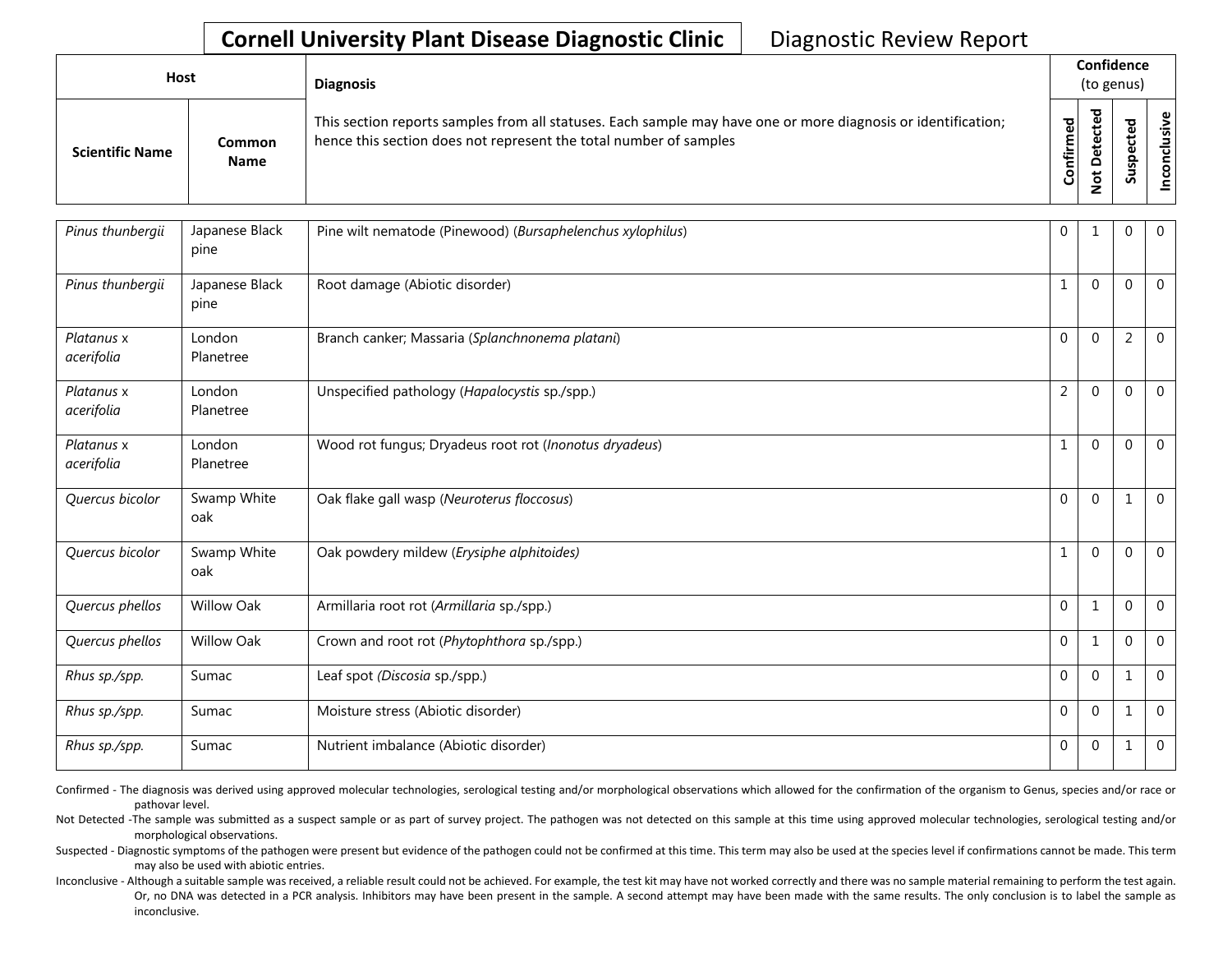| Host                   |                       | <b>Diagnosis</b>                                                                                                                                                                   |           | Confidence<br>(to genus)    |   |         |  |  |  |
|------------------------|-----------------------|------------------------------------------------------------------------------------------------------------------------------------------------------------------------------------|-----------|-----------------------------|---|---------|--|--|--|
| <b>Scientific Name</b> | Common<br><b>Name</b> | This section reports samples from all statuses. Each sample may have one or more diagnosis or identification;<br>hence this section does not represent the total number of samples | Confirmed | ᇃ<br>ں<br>Φ<br>٥<br>سه<br>- | ശ | Φ<br>iš |  |  |  |

| Pinus thunbergii         | Japanese Black<br>pine | Pine wilt nematode (Pinewood) (Bursaphelenchus xylophilus) | $\mathbf 0$    |                | 0              | $\mathbf 0$    |
|--------------------------|------------------------|------------------------------------------------------------|----------------|----------------|----------------|----------------|
| Pinus thunbergii         | Japanese Black<br>pine | Root damage (Abiotic disorder)                             | 1              | $\Omega$       | $\Omega$       | $\mathbf 0$    |
| Platanus x<br>acerifolia | London<br>Planetree    | Branch canker; Massaria (Splanchnonema platani)            | $\mathbf{0}$   | $\Omega$       | $\overline{2}$ | $\mathbf 0$    |
| Platanus x<br>acerifolia | London<br>Planetree    | Unspecified pathology (Hapalocystis sp./spp.)              | $\overline{2}$ | $\Omega$       | $\Omega$       | $\overline{0}$ |
| Platanus x<br>acerifolia | London<br>Planetree    | Wood rot fungus; Dryadeus root rot (Inonotus dryadeus)     | 1              | $\mathbf{0}$   | 0              | $\overline{0}$ |
| Quercus bicolor          | Swamp White<br>oak     | Oak flake gall wasp (Neuroterus floccosus)                 | $\Omega$       | $\Omega$       | $\mathbf{1}$   | $\overline{0}$ |
| Quercus bicolor          | Swamp White<br>oak     | Oak powdery mildew (Erysiphe alphitoides)                  | $\mathbf{1}$   | $\overline{0}$ | $\mathbf 0$    | $\mathbf 0$    |
| Quercus phellos          | <b>Willow Oak</b>      | Armillaria root rot (Armillaria sp./spp.)                  | $\mathbf{0}$   | $\mathbf{1}$   | $\mathbf 0$    | $\overline{0}$ |
| Quercus phellos          | <b>Willow Oak</b>      | Crown and root rot (Phytophthora sp./spp.)                 | $\mathbf 0$    | $\mathbf{1}$   | $\Omega$       | $\overline{0}$ |
| Rhus sp./spp.            | Sumac                  | Leaf spot (Discosia sp./spp.)                              | $\mathbf{0}$   | $\mathbf{0}$   | 1              | $\mathbf 0$    |
| Rhus sp./spp.            | Sumac                  | Moisture stress (Abiotic disorder)                         | $\mathbf{0}$   | $\mathbf{0}$   | 1              | $\mathbf 0$    |
| Rhus sp./spp.            | Sumac                  | Nutrient imbalance (Abiotic disorder)                      | $\mathbf 0$    | $\Omega$       | $\mathbf 1$    | $\mathbf 0$    |

Confirmed - The diagnosis was derived using approved molecular technologies, serological testing and/or morphological observations which allowed for the confirmation of the organism to Genus, species and/or race or pathovar level.

Not Detected -The sample was submitted as a suspect sample or as part of survey project. The pathogen was not detected on this sample at this time using approved molecular technologies, serological testing and/or morphological observations.

Suspected - Diagnostic symptoms of the pathogen were present but evidence of the pathogen could not be confirmed at this time. This term may also be used at the species level if confirmations cannot be made. This term may also be used with abiotic entries.